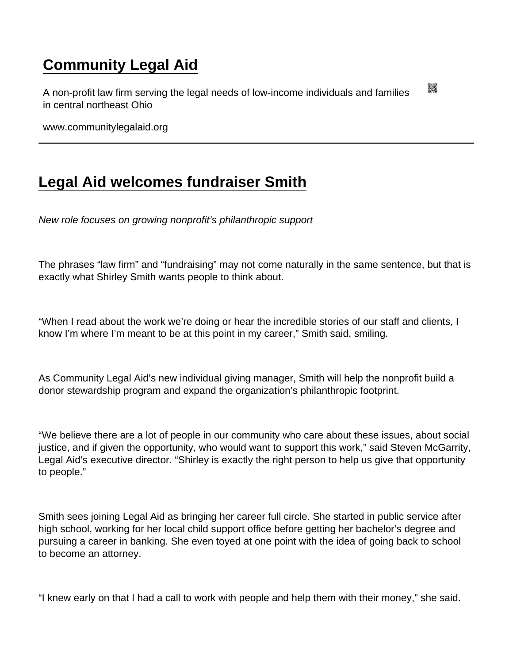## [Community Legal Aid](https://www.communitylegalaid.org/)

A non-profit law firm serving the legal needs of low-income individuals and families in central northeast Ohio

www.communitylegalaid.org

## [Legal Aid welcomes fundraiser Smith](https://www.communitylegalaid.org/node/1715/legal-aid-welcomes-fundraiser-smith)

New role focuses on growing nonprofit's philanthropic support

The phrases "law firm" and "fundraising" may not come naturally in the same sentence, but that is exactly what Shirley Smith wants people to think about.

"When I read about the work we're doing or hear the incredible stories of our staff and clients, I know I'm where I'm meant to be at this point in my career," Smith said, smiling.

As Community Legal Aid's new individual giving manager, Smith will help the nonprofit build a donor stewardship program and expand the organization's philanthropic footprint.

"We believe there are a lot of people in our community who care about these issues, about social justice, and if given the opportunity, who would want to support this work," said Steven McGarrity, Legal Aid's executive director. "Shirley is exactly the right person to help us give that opportunity to people."

Smith sees joining Legal Aid as bringing her career full circle. She started in public service after high school, working for her local child support office before getting her bachelor's degree and pursuing a career in banking. She even toyed at one point with the idea of going back to school to become an attorney.

"I knew early on that I had a call to work with people and help them with their money," she said.